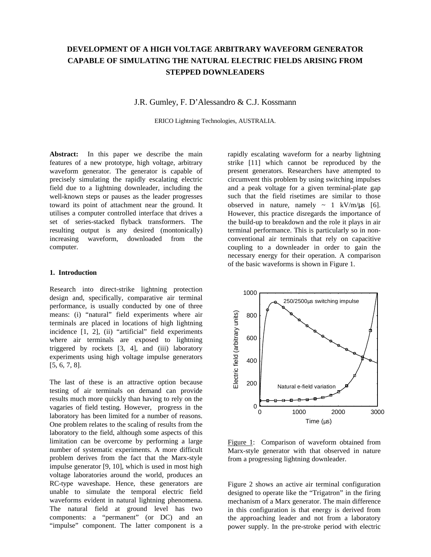# **DEVELOPMENT OF A HIGH VOLTAGE ARBITRARY WAVEFORM GENERATOR CAPABLE OF SIMULATING THE NATURAL ELECTRIC FIELDS ARISING FROM STEPPED DOWNLEADERS**

J.R. Gumley, F. D'Alessandro & C.J. Kossmann

ERICO Lightning Technologies, AUSTRALIA.

**Abstract:** In this paper we describe the main features of a new prototype, high voltage, arbitrary waveform generator. The generator is capable of precisely simulating the rapidly escalating electric field due to a lightning downleader, including the well-known steps or pauses as the leader progresses toward its point of attachment near the ground. It utilises a computer controlled interface that drives a set of series-stacked flyback transformers. The resulting output is any desired (montonically) increasing waveform, downloaded from the computer.

#### **1. Introduction**

Research into direct-strike lightning protection design and, specifically, comparative air terminal performance, is usually conducted by one of three means: (i) "natural" field experiments where air terminals are placed in locations of high lightning incidence [1, 2], (ii) "artificial" field experiments where air terminals are exposed to lightning triggered by rockets [3, 4], and (iii) laboratory experiments using high voltage impulse generators [5, 6, 7, 8].

The last of these is an attractive option because testing of air terminals on demand can provide results much more quickly than having to rely on the vagaries of field testing. However, progress in the laboratory has been limited for a number of reasons. One problem relates to the scaling of results from the laboratory to the field, although some aspects of this limitation can be overcome by performing a large number of systematic experiments. A more difficult problem derives from the fact that the Marx-style impulse generator [9, 10], which is used in most high voltage laboratories around the world, produces an RC-type waveshape. Hence, these generators are unable to simulate the temporal electric field waveforms evident in natural lightning phenomena. The natural field at ground level has two components: a "permanent" (or DC) and an "impulse" component. The latter component is a

rapidly escalating waveform for a nearby lightning strike [11] which cannot be reproduced by the present generators. Researchers have attempted to circumvent this problem by using switching impulses and a peak voltage for a given terminal-plate gap such that the field risetimes are similar to those observed in nature, namely  $\sim 1$  kV/m/ $\mu$ s [6]. However, this practice disregards the importance of the build-up to breakdown and the role it plays in air terminal performance. This is particularly so in nonconventional air terminals that rely on capacitive coupling to a downleader in order to gain the necessary energy for their operation. A comparison of the basic waveforms is shown in Figure 1.



Figure 1: Comparison of waveform obtained from Marx-style generator with that observed in nature from a progressing lightning downleader.

Figure 2 shows an active air terminal configuration designed to operate like the "Trigatron" in the firing mechanism of a Marx generator. The main difference in this configuration is that energy is derived from the approaching leader and not from a laboratory power supply. In the pre-stroke period with electric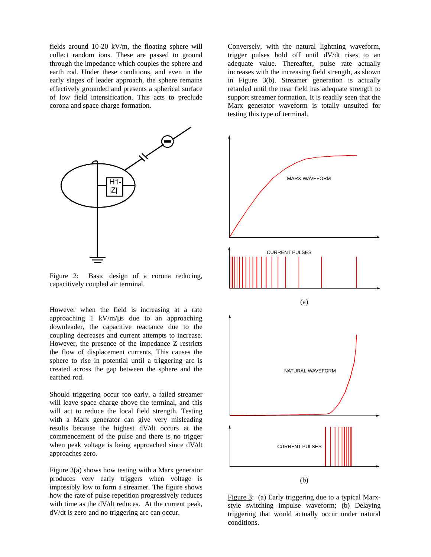fields around 10-20 kV/m, the floating sphere will collect random ions. These are passed to ground through the impedance which couples the sphere and earth rod. Under these conditions, and even in the early stages of leader approach, the sphere remains effectively grounded and presents a spherical surface of low field intensification. This acts to preclude corona and space charge formation.



Figure 2: Basic design of a corona reducing, capacitively coupled air terminal.

However when the field is increasing at a rate approaching 1 kV/m/μs due to an approaching downleader, the capacitive reactance due to the coupling decreases and current attempts to increase. However, the presence of the impedance Z restricts the flow of displacement currents. This causes the sphere to rise in potential until a triggering arc is created across the gap between the sphere and the earthed rod.

Should triggering occur too early, a failed streamer will leave space charge above the terminal, and this will act to reduce the local field strength. Testing with a Marx generator can give very misleading results because the highest dV/dt occurs at the commencement of the pulse and there is no trigger when peak voltage is being approached since dV/dt approaches zero.

Figure 3(a) shows how testing with a Marx generator produces very early triggers when voltage is impossibly low to form a streamer. The figure shows how the rate of pulse repetition progressively reduces with time as the dV/dt reduces. At the current peak, dV/dt is zero and no triggering arc can occur.

Conversely, with the natural lightning waveform, trigger pulses hold off until dV/dt rises to an adequate value. Thereafter, pulse rate actually increases with the increasing field strength, as shown in Figure 3(b). Streamer generation is actually retarded until the near field has adequate strength to support streamer formation. It is readily seen that the Marx generator waveform is totally unsuited for testing this type of terminal.



Figure 3: (a) Early triggering due to a typical Marxstyle switching impulse waveform; (b) Delaying triggering that would actually occur under natural conditions.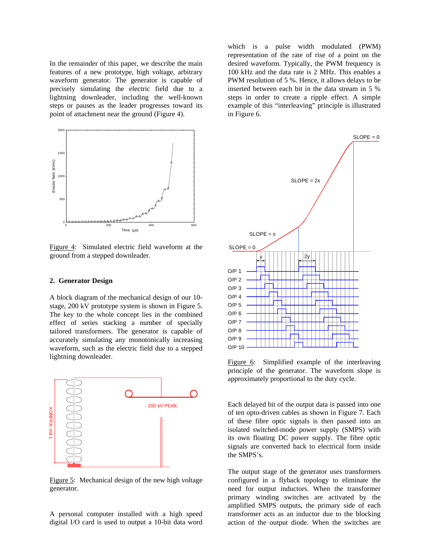In the remainder of this paper, we describe the main features of a new prototype, high voltage, arbitrary waveform generator. The generator is capable of precisely simulating the electric field due to a lightning downleader, including the well-known steps or pauses as the leader progresses toward its point of attachment near the ground (Figure 4).



Figure 4: Simulated electric field waveform at the ground from a stepped downleader.

#### **2. Generator Design**

A block diagram of the mechanical design of our 10 stage, 200 kV prototype system is shown in Figure 5. The key to the whole concept lies in the combined effect of series stacking a number of specially tailored transformers. The generator is capable of accurately simulating any monotonically increasing waveform, such as the electric field due to a stepped lightning downleader.



Figure 5: Mechanical design of the new high voltage generator.

A personal computer installed with a high speed digital I/O card is used to output a 10-bit data word

which is a pulse width modulated (PWM) representation of the rate of rise of a point on the desired waveform. Typically, the PWM frequency is 100 kHz and the data rate is 2 MHz. This enables a PWM resolution of 5 %. Hence, it allows delays to be inserted between each bit in the data stream in 5 % steps in order to create a ripple effect. A simple example of this "interleaving" principle is illustrated in Figure 6.



Figure 6: Simplified example of the interleaving principle of the generator. The waveform slope is approximately proportional to the duty cycle.

Each delayed bit of the output data is passed into one of ten opto-driven cables as shown in Figure 7. Each of these fibre optic signals is then passed into an isolated switched-mode power supply (SMPS) with its own floating DC power supply. The fibre optic signals are converted back to electrical form inside the SMPS's.

The output stage of the generator uses transformers configured in a flyback topology to eliminate the need for output inductors. When the transformer primary winding switches are activated by the amplified SMPS outputs, the primary side of each transformer acts as an inductor due to the blocking action of the output diode. When the switches are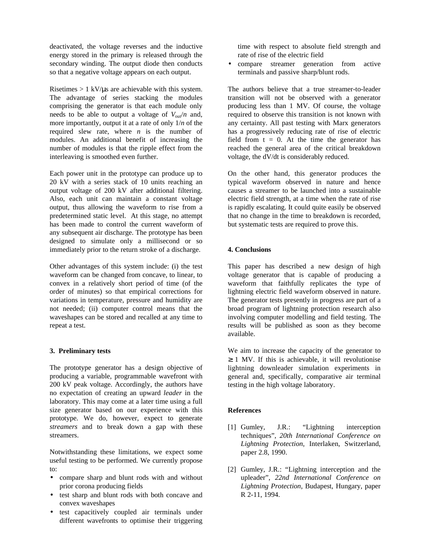deactivated, the voltage reverses and the inductive energy stored in the primary is released through the secondary winding. The output diode then conducts so that a negative voltage appears on each output.

Risetimes  $> 1$  kV/ $\mu$ s are achievable with this system. The advantage of series stacking the modules comprising the generator is that each module only needs to be able to output a voltage of  $V_{\text{out}}/n$  and, more importantly, output it at a rate of only 1/*n* of the required slew rate, where *n* is the number of modules. An additional benefit of increasing the number of modules is that the ripple effect from the interleaving is smoothed even further.

Each power unit in the prototype can produce up to 20 kV with a series stack of 10 units reaching an output voltage of 200 kV after additional filtering. Also, each unit can maintain a constant voltage output, thus allowing the waveform to rise from a predetermined static level. At this stage, no attempt has been made to control the current waveform of any subsequent air discharge. The prototype has been designed to simulate only a millisecond or so immediately prior to the return stroke of a discharge.

Other advantages of this system include: (i) the test waveform can be changed from concave, to linear, to convex in a relatively short period of time (of the order of minutes) so that empirical corrections for variations in temperature, pressure and humidity are not needed; (ii) computer control means that the waveshapes can be stored and recalled at any time to repeat a test.

## **3. Preliminary tests**

The prototype generator has a design objective of producing a variable, programmable wavefront with 200 kV peak voltage. Accordingly, the authors have no expectation of creating an upward *leader* in the laboratory. This may come at a later time using a full size generator based on our experience with this prototype. We do, however, expect to generate *streamers* and to break down a gap with these streamers.

Notwithstanding these limitations, we expect some useful testing to be performed. We currently propose to:

- compare sharp and blunt rods with and without prior corona producing fields
- test sharp and blunt rods with both concave and convex waveshapes
- test capacitively coupled air terminals under different wavefronts to optimise their triggering

time with respect to absolute field strength and rate of rise of the electric field

• compare streamer generation from active terminals and passive sharp/blunt rods.

The authors believe that a true streamer-to-leader transition will not be observed with a generator producing less than 1 MV. Of course, the voltage required to observe this transition is not known with any certainty. All past testing with Marx generators has a progressively reducing rate of rise of electric field from  $t = 0$ . At the time the generator has reached the general area of the critical breakdown voltage, the dV/dt is considerably reduced.

On the other hand, this generator produces the typical waveform observed in nature and hence causes a streamer to be launched into a sustainable electric field strength, at a time when the rate of rise is rapidly escalating. It could quite easily be observed that no change in the time to breakdown is recorded, but systematic tests are required to prove this.

## **4. Conclusions**

This paper has described a new design of high voltage generator that is capable of producing a waveform that faithfully replicates the type of lightning electric field waveform observed in nature. The generator tests presently in progress are part of a broad program of lightning protection research also involving computer modelling and field testing. The results will be published as soon as they become available.

We aim to increase the capacity of the generator to  $\geq$  1 MV. If this is achievable, it will revolutionise lightning downleader simulation experiments in general and, specifically, comparative air terminal testing in the high voltage laboratory.

## **References**

- [1] Gumley, J.R.: "Lightning interception techniques", *20th International Conference on Lightning Protection*, Interlaken, Switzerland, paper 2.8, 1990.
- [2] Gumley, J.R.: "Lightning interception and the upleader", *22nd International Conference on Lightning Protection*, Budapest, Hungary, paper R 2-11, 1994.